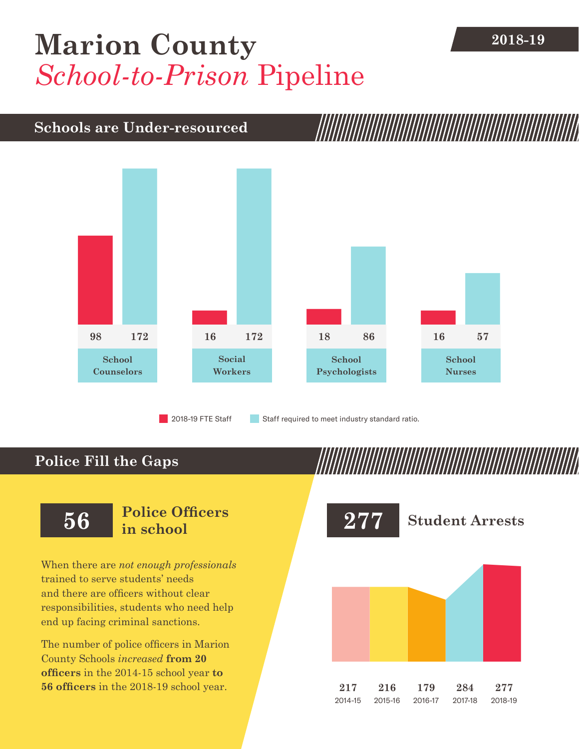## **[Marion County](DBF_County)** 2018-19 *School-to-Prison* Pipeline

## **Schools are Under-resourced**



2018-19 FTE Staff **Staff required to meet industry standard ratio.** 

## **Police Fill the Gaps**

When there are *not enough professionals* trained to serve students' needs and there are officers without clear responsibilities, students who need help end up facing criminal sanctions.

The number of police officers in [Marion](DBF_County)  [County](DBF_County) Schools *increased* **from [20](DBF_PO1415)  officers** in the 2014-15 school year **to [56](DBF_PO) officers** in the 2018-19 school year.